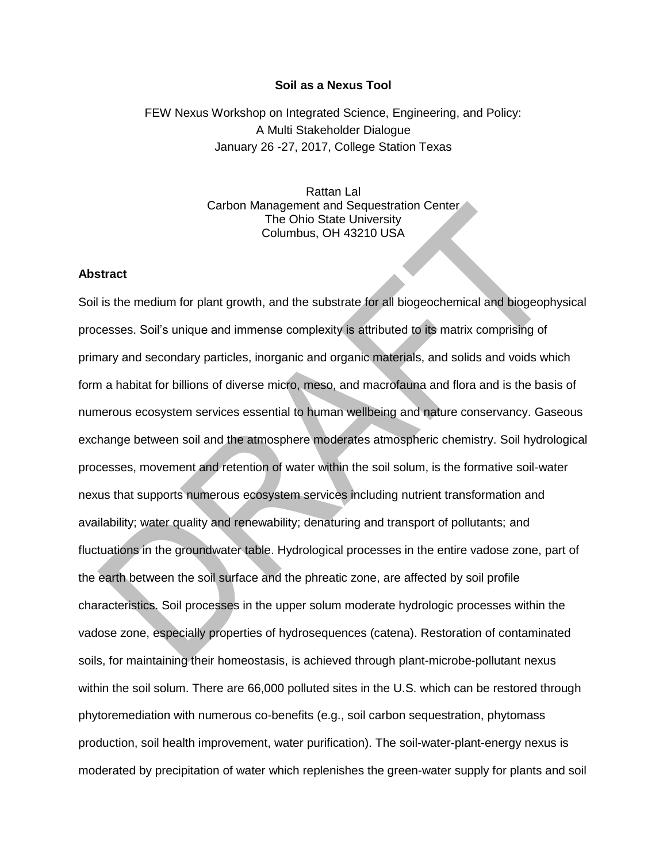## **Soil as a Nexus Tool**

FEW Nexus Workshop on Integrated Science, Engineering, and Policy: A Multi Stakeholder Dialogue January 26 -27, 2017, College Station Texas

> Rattan Lal Carbon Management and Sequestration Center The Ohio State University Columbus, OH 43210 USA

## **Abstract**

Soil is the medium for plant growth, and the substrate for all biogeochemical and biogeophysical processes. Soil's unique and immense complexity is attributed to its matrix comprising of primary and secondary particles, inorganic and organic materials, and solids and voids which form a habitat for billions of diverse micro, meso, and macrofauna and flora and is the basis of numerous ecosystem services essential to human wellbeing and nature conservancy. Gaseous exchange between soil and the atmosphere moderates atmospheric chemistry. Soil hydrological processes, movement and retention of water within the soil solum, is the formative soil-water nexus that supports numerous ecosystem services including nutrient transformation and availability; water quality and renewability; denaturing and transport of pollutants; and fluctuations in the groundwater table. Hydrological processes in the entire vadose zone, part of the earth between the soil surface and the phreatic zone, are affected by soil profile characteristics. Soil processes in the upper solum moderate hydrologic processes within the vadose zone, especially properties of hydrosequences (catena). Restoration of contaminated soils, for maintaining their homeostasis, is achieved through plant-microbe-pollutant nexus within the soil solum. There are 66,000 polluted sites in the U.S. which can be restored through phytoremediation with numerous co-benefits (e.g., soil carbon sequestration, phytomass production, soil health improvement, water purification). The soil-water-plant-energy nexus is moderated by precipitation of water which replenishes the green-water supply for plants and soil